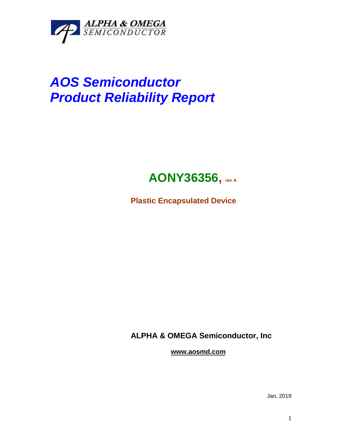

# *AOS Semiconductor Product Reliability Report*

## **AONY36356, rev <sup>A</sup>**

**Plastic Encapsulated Device**

**ALPHA & OMEGA Semiconductor, Inc**

**www.aosmd.com**

Jan, 2019